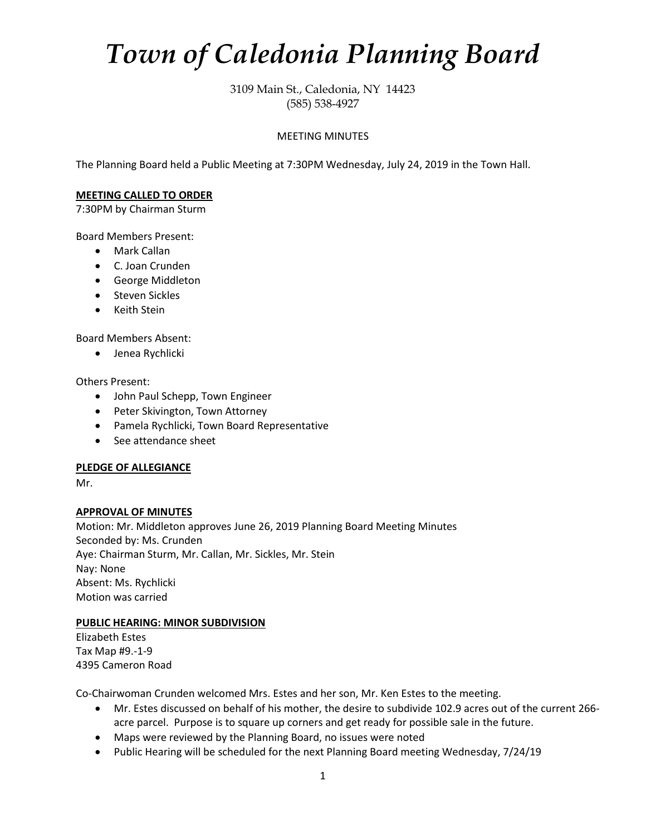# *Town of Caledonia Planning Board*

3109 Main St., Caledonia, NY 14423 (585) 538-4927

## MEETING MINUTES

The Planning Board held a Public Meeting at 7:30PM Wednesday, July 24, 2019 in the Town Hall.

## **MEETING CALLED TO ORDER**

7:30PM by Chairman Sturm

Board Members Present:

- Mark Callan
- C. Joan Crunden
- George Middleton
- Steven Sickles
- Keith Stein

Board Members Absent:

• Jenea Rychlicki

Others Present:

- John Paul Schepp, Town Engineer
- Peter Skivington, Town Attorney
- Pamela Rychlicki, Town Board Representative
- See attendance sheet

## **PLEDGE OF ALLEGIANCE**

Mr.

## **APPROVAL OF MINUTES**

Motion: Mr. Middleton approves June 26, 2019 Planning Board Meeting Minutes Seconded by: Ms. Crunden Aye: Chairman Sturm, Mr. Callan, Mr. Sickles, Mr. Stein Nay: None Absent: Ms. Rychlicki Motion was carried

## **PUBLIC HEARING: MINOR SUBDIVISION**

Elizabeth Estes Tax Map #9.-1-9 4395 Cameron Road

Co-Chairwoman Crunden welcomed Mrs. Estes and her son, Mr. Ken Estes to the meeting.

- Mr. Estes discussed on behalf of his mother, the desire to subdivide 102.9 acres out of the current 266 acre parcel. Purpose is to square up corners and get ready for possible sale in the future.
- Maps were reviewed by the Planning Board, no issues were noted
- Public Hearing will be scheduled for the next Planning Board meeting Wednesday, 7/24/19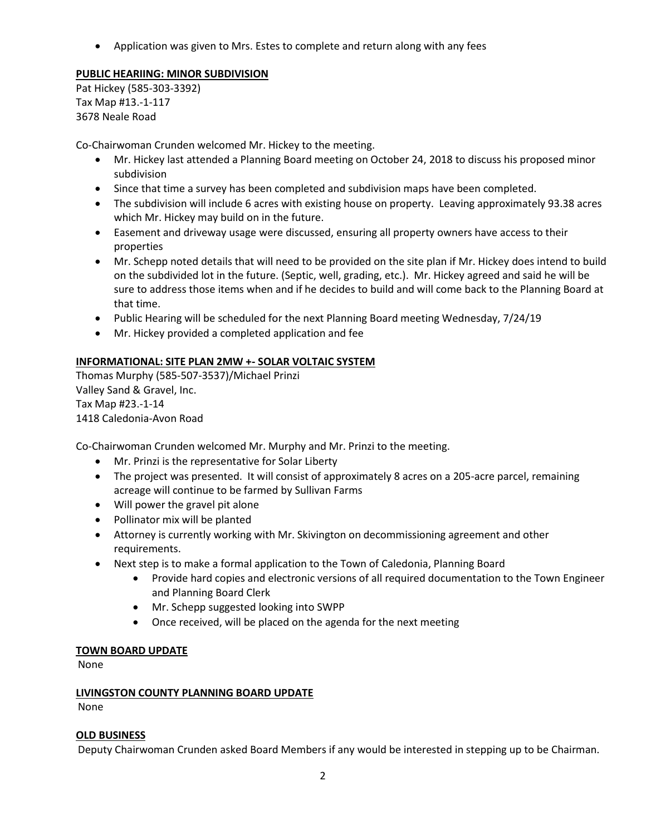• Application was given to Mrs. Estes to complete and return along with any fees

## **PUBLIC HEARIING: MINOR SUBDIVISION**

Pat Hickey (585-303-3392) Tax Map #13.-1-117 3678 Neale Road

Co-Chairwoman Crunden welcomed Mr. Hickey to the meeting.

- Mr. Hickey last attended a Planning Board meeting on October 24, 2018 to discuss his proposed minor subdivision
- Since that time a survey has been completed and subdivision maps have been completed.
- The subdivision will include 6 acres with existing house on property. Leaving approximately 93.38 acres which Mr. Hickey may build on in the future.
- Easement and driveway usage were discussed, ensuring all property owners have access to their properties
- Mr. Schepp noted details that will need to be provided on the site plan if Mr. Hickey does intend to build on the subdivided lot in the future. (Septic, well, grading, etc.). Mr. Hickey agreed and said he will be sure to address those items when and if he decides to build and will come back to the Planning Board at that time.
- Public Hearing will be scheduled for the next Planning Board meeting Wednesday, 7/24/19
- Mr. Hickey provided a completed application and fee

## **INFORMATIONAL: SITE PLAN 2MW +- SOLAR VOLTAIC SYSTEM**

Thomas Murphy (585-507-3537)/Michael Prinzi Valley Sand & Gravel, Inc. Tax Map #23.-1-14 1418 Caledonia-Avon Road

Co-Chairwoman Crunden welcomed Mr. Murphy and Mr. Prinzi to the meeting.

- Mr. Prinzi is the representative for Solar Liberty
- The project was presented. It will consist of approximately 8 acres on a 205-acre parcel, remaining acreage will continue to be farmed by Sullivan Farms
- Will power the gravel pit alone
- Pollinator mix will be planted
- Attorney is currently working with Mr. Skivington on decommissioning agreement and other requirements.
- Next step is to make a formal application to the Town of Caledonia, Planning Board
	- Provide hard copies and electronic versions of all required documentation to the Town Engineer and Planning Board Clerk
	- Mr. Schepp suggested looking into SWPP
	- Once received, will be placed on the agenda for the next meeting

## **TOWN BOARD UPDATE**

None

## **LIVINGSTON COUNTY PLANNING BOARD UPDATE**

None

## **OLD BUSINESS**

Deputy Chairwoman Crunden asked Board Members if any would be interested in stepping up to be Chairman.